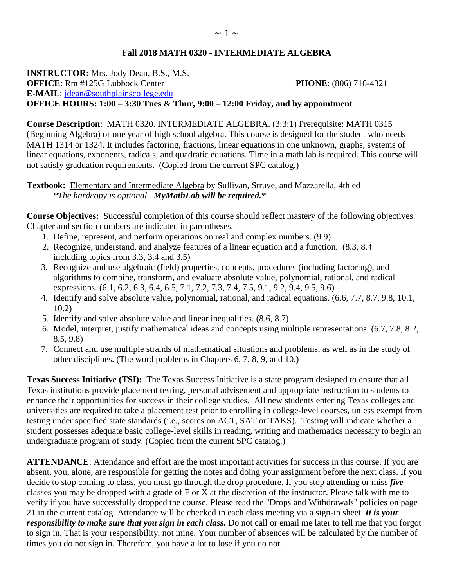## **Fall 2018 MATH 0320 - INTERMEDIATE ALGEBRA**

**INSTRUCTOR:** Mrs. Jody Dean, B.S., M.S. **OFFICE**: Rm #125G Lubbock Center **PHONE**: (806) 716-4321 **E-MAIL**: [jdean@southplainscollege.edu](mailto:jdean@southplainscollege.edu)  **OFFICE HOURS: 1:00 – 3:30 Tues & Thur, 9:00 – 12:00 Friday, and by appointment**

**Course Description**: MATH 0320. INTERMEDIATE ALGEBRA. (3:3:1) Prerequisite: MATH 0315 (Beginning Algebra) or one year of high school algebra. This course is designed for the student who needs MATH 1314 or 1324. It includes factoring, fractions, linear equations in one unknown, graphs, systems of linear equations, exponents, radicals, and quadratic equations. Time in a math lab is required. This course will not satisfy graduation requirements. (Copied from the current SPC catalog.)

## **Textbook:** Elementary and Intermediate Algebra by Sullivan, Struve, and Mazzarella, 4th ed *\*The hardcopy is optional. MyMathLab will be required.\**

**Course Objectives:** Successful completion of this course should reflect mastery of the following objectives. Chapter and section numbers are indicated in parentheses.

- 1. Define, represent, and perform operations on real and complex numbers. (9.9)
- 2. Recognize, understand, and analyze features of a linear equation and a function. (8.3, 8.4 including topics from 3.3, 3.4 and 3.5)
- 3. Recognize and use algebraic (field) properties, concepts, procedures (including factoring), and algorithms to combine, transform, and evaluate absolute value, polynomial, rational, and radical expressions. (6.1, 6.2, 6.3, 6.4, 6.5, 7.1, 7.2, 7.3, 7.4, 7.5, 9.1, 9.2, 9.4, 9.5, 9.6)
- 4. Identify and solve absolute value, polynomial, rational, and radical equations. (6.6, 7.7, 8.7, 9.8, 10.1, 10.2)
- 5. Identify and solve absolute value and linear inequalities. (8.6, 8.7)
- 6. Model, interpret, justify mathematical ideas and concepts using multiple representations. (6.7, 7.8, 8.2, 8.5, 9.8)
- 7. Connect and use multiple strands of mathematical situations and problems, as well as in the study of other disciplines. (The word problems in Chapters 6, 7, 8, 9, and 10.)

**Texas Success Initiative (TSI):** The Texas Success Initiative is a state program designed to ensure that all Texas institutions provide placement testing, personal advisement and appropriate instruction to students to enhance their opportunities for success in their college studies. All new students entering Texas colleges and universities are required to take a placement test prior to enrolling in college-level courses, unless exempt from testing under specified state standards (i.e., scores on ACT, SAT or TAKS). Testing will indicate whether a student possesses adequate basic college-level skills in reading, writing and mathematics necessary to begin an undergraduate program of study. (Copied from the current SPC catalog.)

**ATTENDANCE**: Attendance and effort are the most important activities for success in this course. If you are absent, you, alone, are responsible for getting the notes and doing your assignment before the next class. If you decide to stop coming to class, you must go through the drop procedure. If you stop attending or miss *five* classes you may be dropped with a grade of F or X at the discretion of the instructor. Please talk with me to verify if you have successfully dropped the course. Please read the "Drops and Withdrawals" policies on page 21 in the current catalog. Attendance will be checked in each class meeting via a sign-in sheet. *It is your responsibility to make sure that you sign in each class.* Do not call or email me later to tell me that you forgot to sign in. That is your responsibility, not mine. Your number of absences will be calculated by the number of times you do not sign in. Therefore, you have a lot to lose if you do not.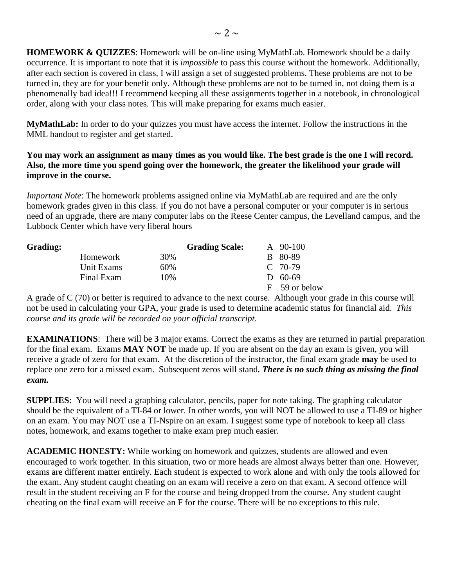**HOMEWORK & QUIZZES**: Homework will be on-line using MyMathLab. Homework should be a daily occurrence. It is important to note that it is *impossible* to pass this course without the homework. Additionally, after each section is covered in class, I will assign a set of suggested problems. These problems are not to be turned in, they are for your benefit only. Although these problems are not to be turned in, not doing them is a phenomenally bad idea!!! I recommend keeping all these assignments together in a notebook, in chronological order, along with your class notes. This will make preparing for exams much easier.

**MyMathLab:** In order to do your quizzes you must have access the internet. Follow the instructions in the MML handout to register and get started.

## **You may work an assignment as many times as you would like. The best grade is the one I will record. Also, the more time you spend going over the homework, the greater the likelihood your grade will improve in the course.**

*Important Note*: The homework problems assigned online via MyMathLab are required and are the only homework grades given in this class. If you do not have a personal computer or your computer is in serious need of an upgrade, there are many computer labs on the Reese Center campus, the Levelland campus, and the Lubbock Center which have very liberal hours

| <b>Grading:</b> |            |     | <b>Grading Scale:</b> |              | A 90-100      |
|-----------------|------------|-----|-----------------------|--------------|---------------|
|                 | Homework   | 30% |                       |              | B 80-89       |
|                 | Unit Exams | 60% |                       |              | $C$ 70-79     |
|                 | Final Exam | 10% |                       | $\mathbf{D}$ | 60-69         |
|                 |            |     |                       |              | F 59 or below |

A grade of C (70) or better is required to advance to the next course. Although your grade in this course will not be used in calculating your GPA, your grade is used to determine academic status for financial aid. *This course and its grade will be recorded on your official transcript.*

**EXAMINATIONS**: There will be **3** major exams. Correct the exams as they are returned in partial preparation for the final exam. Exams **MAY NOT** be made up. If you are absent on the day an exam is given, you will receive a grade of zero for that exam. At the discretion of the instructor, the final exam grade **may** be used to replace one zero for a missed exam. Subsequent zeros will stand*. There is no such thing as missing the final exam.*

**SUPPLIES**: You will need a graphing calculator, pencils, paper for note taking. The graphing calculator should be the equivalent of a TI-84 or lower. In other words, you will NOT be allowed to use a TI-89 or higher on an exam. You may NOT use a TI-Nspire on an exam. I suggest some type of notebook to keep all class notes, homework, and exams together to make exam prep much easier.

**ACADEMIC HONESTY:** While working on homework and quizzes, students are allowed and even encouraged to work together. In this situation, two or more heads are almost always better than one. However, exams are different matter entirely. Each student is expected to work alone and with only the tools allowed for the exam. Any student caught cheating on an exam will receive a zero on that exam. A second offence will result in the student receiving an F for the course and being dropped from the course. Any student caught cheating on the final exam will receive an F for the course. There will be no exceptions to this rule.